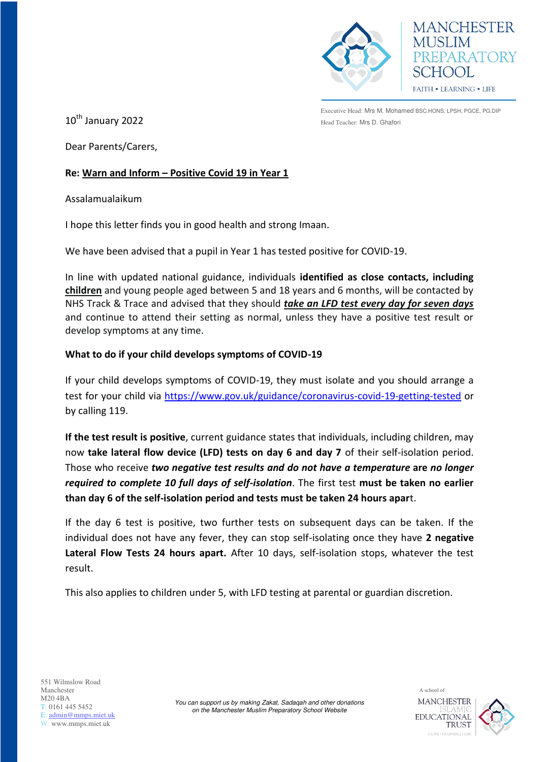

**MANCHESTER** PREPARATORY **HOOL** FAITH . LEARNING . LIFE

Executive Head: Mrs M. Mohamed BSC.HONS, LPSH, PGCE, PG.DIP  $10^{\text{th}}$  January 2022 **Example 2021** Head Teacher: Mrs D. Ghafori

Dear Parents/Carers,

## **Re: Warn and Inform – Positive Covid 19 in Year 1**

Assalamualaikum

I hope this letter finds you in good health and strong Imaan.

We have been advised that a pupil in Year 1 has tested positive for COVID-19.

In line with updated national guidance, individuals **identified as close contacts, including children** and young people aged between 5 and 18 years and 6 months, will be contacted by NHS Track & Trace and advised that they should *take an LFD test every day for seven days* and continue to attend their setting as normal, unless they have a positive test result or develop symptoms at any time.

## **What to do if your child develops symptoms of COVID-19**

If your child develops symptoms of COVID-19, they must isolate and you should arrange a test for your child via<https://www.gov.uk/guidance/coronavirus-covid-19-getting-tested>or by calling 119.

**If the test result is positive**, current guidance states that individuals, including children, may now **take lateral flow device (LFD) tests on day 6 and day 7** of their self-isolation period. Those who receive *two negative test results and do not have a temperature* **are** *no longer required to complete 10 full days of self-isolation*. The first test **must be taken no earlier than day 6 of the self-isolation period and tests must be taken 24 hours apar**t.

If the day 6 test is positive, two further tests on subsequent days can be taken. If the individual does not have any fever, they can stop self-isolating once they have **2 negative Lateral Flow Tests 24 hours apart.** After 10 days, self-isolation stops, whatever the test result.

This also applies to children under 5, with LFD testing at parental or guardian discretion.